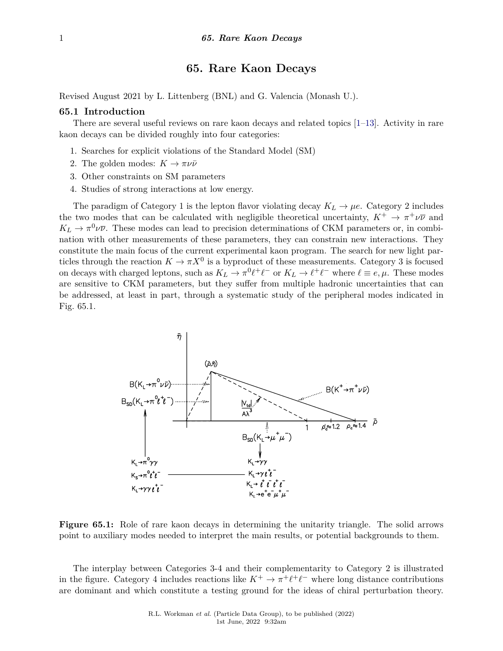# **65. Rare Kaon Decays**

Revised August 2021 by L. Littenberg (BNL) and G. Valencia (Monash U.).

#### **65.1 Introduction**

There are several useful reviews on rare kaon decays and related topics [\[1–](#page-7-0)[13\]](#page-7-1). Activity in rare kaon decays can be divided roughly into four categories:

- 1. Searches for explicit violations of the Standard Model (SM)
- 2. The golden modes:  $K \to \pi \nu \bar{\nu}$
- 3. Other constraints on SM parameters
- 4. Studies of strong interactions at low energy.

The paradigm of Category 1 is the lepton flavor violating decay  $K_L \to \mu e$ . Category 2 includes the two modes that can be calculated with negligible theoretical uncertainty,  $K^+ \to \pi^+ \nu \overline{\nu}$  and  $K_L \to \pi^0 \nu \overline{\nu}$ . These modes can lead to precision determinations of CKM parameters or, in combination with other measurements of these parameters, they can constrain new interactions. They constitute the main focus of the current experimental kaon program. The search for new light particles through the reaction  $K \to \pi X^0$  is a byproduct of these measurements. Category 3 is focused on decays with charged leptons, such as  $K_L \to \pi^0 \ell^+ \ell^-$  or  $K_L \to \ell^+ \ell^-$  where  $\ell \equiv e, \mu$ . These modes are sensitive to CKM parameters, but they suffer from multiple hadronic uncertainties that can be addressed, at least in part, through a systematic study of the peripheral modes indicated in Fig. 65.1.



**Figure 65.1:** Role of rare kaon decays in determining the unitarity triangle. The solid arrows point to auxiliary modes needed to interpret the main results, or potential backgrounds to them.

The interplay between Categories 3-4 and their complementarity to Category 2 is illustrated in the figure. Category 4 includes reactions like  $K^+ \to \pi^+ \ell^+ \ell^-$  where long distance contributions are dominant and which constitute a testing ground for the ideas of chiral perturbation theory.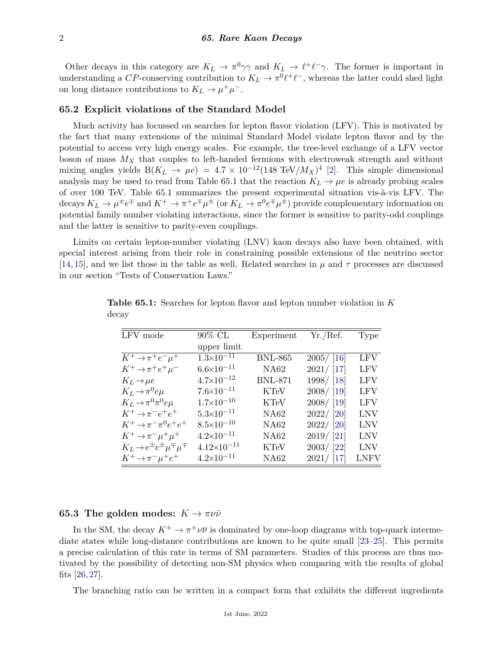Other decays in this category are  $K_L \to \pi^0 \gamma \gamma$  and  $K_L \to \ell^+ \ell^- \gamma$ . The former is important in understanding a *CP*-conserving contribution to  $K_L \to \pi^0 \ell^+ \ell^-$ , whereas the latter could shed light on long distance contributions to  $K_L \to \mu^+ \mu^-$ .

### **65.2 Explicit violations of the Standard Model**

Much activity has focussed on searches for lepton flavor violation (LFV). This is motivated by the fact that many extensions of the minimal Standard Model violate lepton flavor and by the potential to access very high energy scales. For example, the tree-level exchange of a LFV vector boson of mass *M<sup>X</sup>* that couples to left-handed fermions with electroweak strength and without mixing angles yields  $B(K_L \to \mu e) = 4.7 \times 10^{-12} (148 \text{ TeV}/M_X)^4$  [\[2\]](#page-7-2). This simple dimensional analysis may be used to read from Table 65.1 that the reaction  $K_L \rightarrow \mu e$  is already probing scales of over 100 TeV. Table 65.1 summarizes the present experimental situation vis-à-vis LFV. The  $\text{decays } K_L \to \mu^{\pm} e^{\mp} \text{ and } K^+ \to \pi^{\pm} e^{\mp} \mu^{\pm} \text{ (or } K_L \to \pi^0 e^{\mp} \mu^{\pm} \text{) provide complementary information on }$ potential family number violating interactions, since the former is sensitive to parity-odd couplings and the latter is sensitive to parity-even couplings.

Limits on certain lepton-number violating (LNV) kaon decays also have been obtained, with special interest arising from their role in constraining possible extensions of the neutrino sector [\[14,](#page-7-3) [15\]](#page-7-4), and we list those in the table as well. Related searches in *µ* and *τ* processes are discussed in our section "Tests of Conservation Laws."

| LFV mode                                             | $90\%$ CL             | Experiment     | Yr./Ref.     | Type        |
|------------------------------------------------------|-----------------------|----------------|--------------|-------------|
|                                                      | upper limit           |                |              |             |
| $K^+\rightarrow \pi^+e^-\mu^+$                       | $1.3 \times 10^{-11}$ | <b>BNL-865</b> | $2005/$ [16] | LFV         |
| $K^+\rightarrow \pi^+e^+\mu^-$                       | $6.6 \times 10^{-11}$ | NA62           | 2021 / [17]  | <b>LFV</b>  |
| $K_L \rightarrow \mu e$                              | $4.7 \times 10^{-12}$ | <b>BNL-871</b> | 1998/ [18]   | <b>LFV</b>  |
| $K_L \rightarrow \pi^0 e \mu$                        | $7.6 \times 10^{-11}$ | <b>KTeV</b>    | $2008/$ [19] | LFV         |
| $K_L \rightarrow \pi^0 \pi^0 e \mu$                  | $1.7 \times 10^{-10}$ | KTeV           | $2008/$ [19] | LFV         |
| $K^+\rightarrow \pi^-e^+e^+$                         | $5.3\times10^{-11}$   | <b>NA62</b>    | 2022 / [20]  | LNV         |
| $K^+\rightarrow \pi^-\pi^0e^+e^+$                    | $8.5 \times 10^{-10}$ | <b>NA62</b>    | 2022 / [20]  | LNV         |
| $K^+\rightarrow \pi^-\mu^+\mu^+$                     | $4.2 \times 10^{-11}$ | <b>NA62</b>    | $2019/$ [21] | LNV         |
| $K_L \rightarrow e^{\pm}e^{\pm} \mu^{\mp} \mu^{\mp}$ | $4.12\times10^{-11}$  | <b>KTeV</b>    | 2003/ [22]   | <b>LNV</b>  |
| $K^+\rightarrow \pi^-\mu^+e^+$                       | $4.2 \times 10^{-11}$ | <b>NA62</b>    | 2021 / [17]  | <b>LNFV</b> |

**Table 65.1:** Searches for lepton flavor and lepton number violation in *K* decay

# **65.3 The golden modes:**  $K \rightarrow \pi \nu \bar{\nu}$

In the SM, the decay  $K^+ \to \pi^+ \nu \bar{\nu}$  is dominated by one-loop diagrams with top-quark intermediate states while long-distance contributions are known to be quite small [\[23–](#page-7-12)[25\]](#page-7-13). This permits a precise calculation of this rate in terms of SM parameters. Studies of this process are thus motivated by the possibility of detecting non-SM physics when comparing with the results of global fits [\[26,](#page-7-14) [27\]](#page-7-15).

The branching ratio can be written in a compact form that exhibits the different ingredients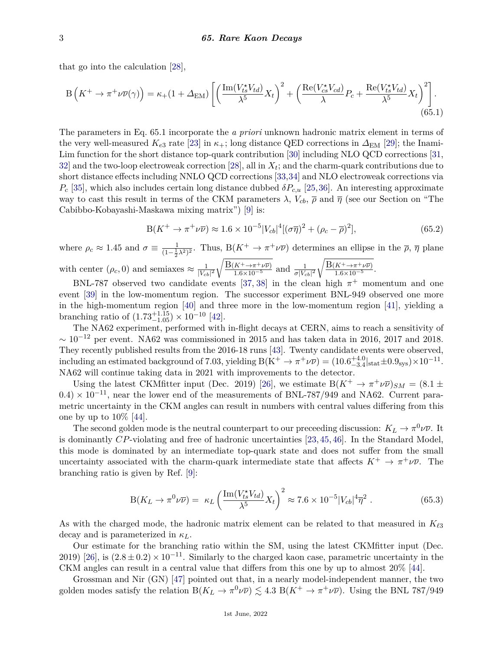that go into the calculation [\[28\]](#page-7-16),

$$
B\left(K^{+}\to\pi^{+}\nu\overline{\nu}(\gamma)\right)=\kappa_{+}(1+\Delta_{\rm EM})\left[\left(\frac{\operatorname{Im}(V_{ts}^{\star}V_{td})}{\lambda^{5}}X_{t}\right)^{2}+\left(\frac{\operatorname{Re}(V_{cs}^{\star}V_{cd})}{\lambda}P_{c}+\frac{\operatorname{Re}(V_{ts}^{\star}V_{td})}{\lambda^{5}}X_{t}\right)^{2}\right].\tag{65.1}
$$

The parameters in Eq. 65.1 incorporate the *a priori* unknown hadronic matrix element in terms of the very well-measured  $K_{e3}$  rate [\[23\]](#page-7-12) in  $\kappa_{+}$ ; long distance QED corrections in  $\Delta_{EM}$  [\[29\]](#page-8-0); the Inami-Lim function for the short distance top-quark contribution [\[30\]](#page-8-1) including NLO QCD corrections [\[31,](#page-8-2)  $32$  and the two-loop electroweak correction [\[28\]](#page-7-16), all in  $X_t$ ; and the charm-quark contributions due to short distance effects including NNLO QCD corrections [\[33,](#page-8-4)[34\]](#page-8-5) and NLO electroweak corrections via  $P_c$  [\[35\]](#page-8-6), which also includes certain long distance dubbed  $\delta P_{c,u}$  [\[25,](#page-7-13)[36\]](#page-8-7). An interesting approximate way to cast this result in terms of the CKM parameters  $\lambda$ ,  $V_{cb}$ ,  $\bar{\rho}$  and  $\bar{\eta}$  (see our Section on "The Cabibbo-Kobayashi-Maskawa mixing matrix") [\[9\]](#page-7-17) is:

$$
B(K^{+} \to \pi^{+} \nu \overline{\nu}) \approx 1.6 \times 10^{-5} |V_{cb}|^{4} [(\sigma \overline{\eta})^{2} + (\rho_{c} - \overline{\rho})^{2}], \tag{65.2}
$$

where  $\rho_c \approx 1.45$  and  $\sigma \equiv \frac{1}{(1-\frac{1}{2}\lambda^2)^2}$ . Thus,  $B(K^+ \to \pi^+ \nu \overline{\nu})$  determines an ellipse in the  $\overline{\rho}, \overline{\eta}$  plane 2 with center  $(\rho_c, 0)$  and semiaxes  $\approx \frac{1}{|V_{cl}|}$  $|V_{cb}|^2$  $\sqrt{\frac{\text{B}(K^+\to\pi^+\nu\overline{\nu})}{1.6\times10^{-5}}}$  and  $\frac{1}{\sigma|V_{cb}|^2}$  $\sqrt{\frac{\text{B}(K^+\to\pi^+\nu\overline{\nu})}{1.6\times10^{-5}}}.$ 

BNL-787 observed two candidate events [\[37,](#page-8-8) [38\]](#page-8-9) in the clean high  $\pi^+$  momentum and one event [\[39\]](#page-8-10) in the low-momentum region. The successor experiment BNL-949 observed one more in the high-momentum region [\[40\]](#page-8-11) and three more in the low-momentum region [\[41\]](#page-8-12), yielding a branching ratio of  $(1.73^{+1.15}_{-1.05}) \times 10^{-10}$  [\[42\]](#page-8-13).

The NA62 experiment, performed with in-flight decays at CERN, aims to reach a sensitivity of  $\sim 10^{-12}$  per event. NA62 was commissioned in 2015 and has taken data in 2016, 2017 and 2018. They recently published results from the 2016-18 runs [\[43\]](#page-8-14). Twenty candidate events were observed, including an estimated background of 7.03, yielding  $B(K^+ \to \pi^+ \nu \overline{\nu}) = (10.6^{+4.0}_{-3.4} |_{stat} \pm 0.9_{sys}) \times 10^{-11}$ . NA62 will continue taking data in 2021 with improvements to the detector.

Using the latest CKMfitter input (Dec. 2019) [\[26\]](#page-7-14), we estimate  $B(K^+ \to \pi^+ \nu \overline{\nu})_{SM} = (8.1 \pm$  $(0.4) \times 10^{-11}$ , near the lower end of the measurements of BNL-787/949 and NA62. Current parametric uncertainty in the CKM angles can result in numbers with central values differing from this one by up to 10% [\[44\]](#page-8-15).

The second golden mode is the neutral counterpart to our preceeding discussion:  $K_L \to \pi^0 \nu \overline{\nu}$ . It is dominantly *CP*-violating and free of hadronic uncertainties [\[23,](#page-7-12) [45,](#page-8-16) [46\]](#page-8-17). In the Standard Model, this mode is dominated by an intermediate top-quark state and does not suffer from the small uncertainty associated with the charm-quark intermediate state that affects  $K^+ \to \pi^+ \nu \overline{\nu}$ . The branching ratio is given by Ref. [\[9\]](#page-7-17):

$$
B(K_L \to \pi^0 \nu \overline{\nu}) = \kappa_L \left( \frac{\text{Im}(V_{ts}^* V_{td})}{\lambda^5} X_t \right)^2 \approx 7.6 \times 10^{-5} |V_{cb}|^4 \overline{\eta}^2 \ . \tag{65.3}
$$

As with the charged mode, the hadronic matrix element can be related to that measured in  $K_{\ell 3}$ decay and is parameterized in *κL*.

Our estimate for the branching ratio within the SM, using the latest CKMfitter input (Dec. 2019) [\[26\]](#page-7-14), is  $(2.8 \pm 0.2) \times 10^{-11}$ . Similarly to the charged kaon case, parametric uncertainty in the CKM angles can result in a central value that differs from this one by up to almost 20% [\[44\]](#page-8-15).

Grossman and Nir (GN) [\[47\]](#page-8-18) pointed out that, in a nearly model-independent manner, the two golden modes satisfy the relation  $B(K_L \to \pi^0 \nu \overline{\nu}) \lesssim 4.3 \ B(K^+ \to \pi^+ \nu \overline{\nu})$ . Using the BNL 787/949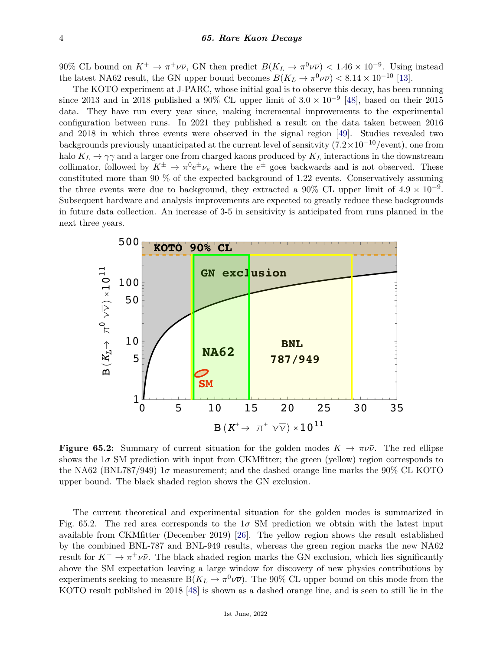90% CL bound on  $K^+ \to \pi^+ \nu \overline{\nu}$ , GN then predict  $B(K_L \to \pi^0 \nu \overline{\nu}) < 1.46 \times 10^{-9}$ . Using instead the latest NA62 result, the GN upper bound becomes  $B(K_L \to \pi^0 \nu \overline{\nu}) < 8.14 \times 10^{-10}$  [\[13\]](#page-7-1).

The KOTO experiment at J-PARC, whose initial goal is to observe this decay, has been running since 2013 and in 2018 published a 90% CL upper limit of  $3.0 \times 10^{-9}$  [\[48\]](#page-8-19), based on their 2015 data. They have run every year since, making incremental improvements to the experimental configuration between runs. In 2021 they published a result on the data taken between 2016 and 2018 in which three events were observed in the signal region [\[49\]](#page-8-20). Studies revealed two backgrounds previously unanticipated at the current level of sensitvity (7*.*2×10−10/event), one from halo  $K_L \to \gamma \gamma$  and a larger one from charged kaons produced by  $K_L$  interactions in the downstream collimator, followed by  $K^{\pm} \to \pi^0 e^{\pm} \nu_e$  where the  $e^{\pm}$  goes backwards and is not observed. These constituted more than 90 % of the expected background of 1.22 events. Conservatively assuming the three events were due to background, they extracted a 90% CL upper limit of  $4.9 \times 10^{-9}$ . Subsequent hardware and analysis improvements are expected to greatly reduce these backgrounds in future data collection. An increase of 3-5 in sensitivity is anticipated from runs planned in the next three years.



**Figure 65.2:** Summary of current situation for the golden modes  $K \to \pi \nu \bar{\nu}$ . The red ellipse shows the  $1\sigma$  SM prediction with input from CKMfitter; the green (yellow) region corresponds to the NA62 (BNL787/949)  $1\sigma$  measurement; and the dashed orange line marks the 90% CL KOTO upper bound. The black shaded region shows the GN exclusion.

The current theoretical and experimental situation for the golden modes is summarized in Fig. 65.2. The red area corresponds to the  $1\sigma$  SM prediction we obtain with the latest input available from CKMfitter (December 2019) [\[26\]](#page-7-14). The yellow region shows the result established by the combined BNL-787 and BNL-949 results, whereas the green region marks the new NA62 result for  $K^+ \to \pi^+ \nu \bar{\nu}$ . The black shaded region marks the GN exclusion, which lies significantly above the SM expectation leaving a large window for discovery of new physics contributions by experiments seeking to measure  $B(K_L \to \pi^0 \nu \overline{\nu})$ . The 90% CL upper bound on this mode from the KOTO result published in 2018 [\[48\]](#page-8-19) is shown as a dashed orange line, and is seen to still lie in the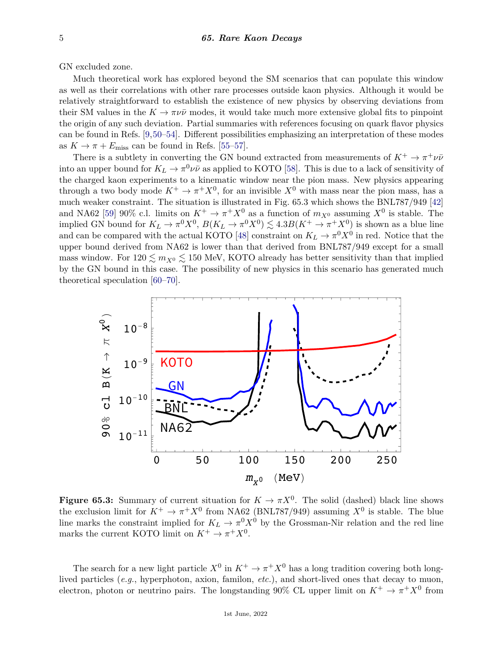GN excluded zone.

Much theoretical work has explored beyond the SM scenarios that can populate this window as well as their correlations with other rare processes outside kaon physics. Although it would be relatively straightforward to establish the existence of new physics by observing deviations from their SM values in the  $K \to \pi \nu \bar{\nu}$  modes, it would take much more extensive global fits to pinpoint the origin of any such deviation. Partial summaries with references focusing on quark flavor physics can be found in Refs. [\[9,](#page-7-17)[50](#page-8-21)[–54\]](#page-8-22). Different possibilities emphasizing an interpretation of these modes as  $K \to \pi + E_{\text{miss}}$  can be found in Refs. [\[55](#page-8-23)[–57\]](#page-8-24).

There is a subtlety in converting the GN bound extracted from measurements of  $K^+ \to \pi^+ \nu \bar{\nu}$ into an upper bound for  $K_L \to \pi^0 \nu \bar{\nu}$  as applied to KOTO [\[58\]](#page-8-25). This is due to a lack of sensitivity of the charged kaon experiments to a kinematic window near the pion mass. New physics appearing through a two body mode  $K^+ \to \pi^+ X^0$ , for an invisible  $X^0$  with mass near the pion mass, has a much weaker constraint. The situation is illustrated in Fig. 65.3 which shows the BNL787/949 [\[42\]](#page-8-13) and NA62 [\[59\]](#page-8-26) 90% c.l. limits on  $K^+ \to \pi^+ X^0$  as a function of  $m_{X^0}$  assuming  $X^0$  is stable. The implied GN bound for  $K_L \to \pi^0 X^0$ ,  $B(K_L \to \pi^0 X^0) \lesssim 4.3 B(K^+ \to \pi^+ X^0)$  is shown as a blue line and can be compared with the actual KOTO [\[48\]](#page-8-19) constraint on  $K_L \to \pi^0 X^0$  in red. Notice that the upper bound derived from NA62 is lower than that derived from BNL787/949 except for a small mass window. For  $120 \le m_{X^0} \le 150$  MeV, KOTO already has better sensitivity than that implied by the GN bound in this case. The possibility of new physics in this scenario has generated much theoretical speculation [\[60–](#page-8-27)[70\]](#page-9-0).



**Figure 65.3:** Summary of current situation for  $K \to \pi X^0$ . The solid (dashed) black line shows the exclusion limit for  $K^+ \to \pi^+ X^0$  from NA62 (BNL787/949) assuming  $X^0$  is stable. The blue line marks the constraint implied for  $K_L \to \pi^0 X^0$  by the Grossman-Nir relation and the red line marks the current KOTO limit on  $K^+ \to \pi^+ X^0$ .

The search for a new light particle  $X^0$  in  $K^+ \to \pi^+ X^0$  has a long tradition covering both longlived particles (*e.g.*, hyperphoton, axion, familon, *etc.*), and short-lived ones that decay to muon, electron, photon or neutrino pairs. The longstanding 90% CL upper limit on  $K^+ \to \pi^+ X^0$  from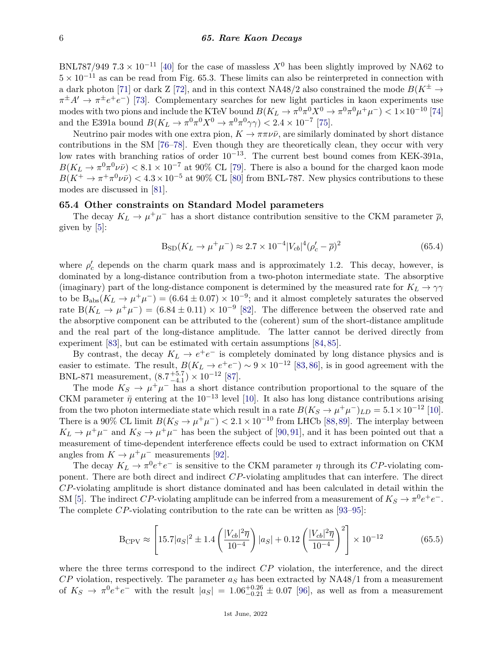BNL787/949 7.3 × 10<sup>-11</sup> [\[40\]](#page-8-11) for the case of massless  $X^0$  has been slightly improved by NA62 to  $5 \times 10^{-11}$  as can be read from Fig. 65.3. These limits can also be reinterpreted in connection with a dark photon [\[71\]](#page-9-1) or dark Z [\[72\]](#page-9-2), and in this context NA48/2 also constrained the mode  $B(K^{\pm} \rightarrow$  $\pi^{\pm}A' \to \pi^{\pm}e^+e^-$ ) [\[73\]](#page-9-3). Complementary searches for new light particles in kaon experiments use modes with two pions and include the KTeV bound  $B(K_L \to \pi^0 \pi^0 X^0 \to \pi^0 \pi^0 \mu^+ \mu^-) < 1 \times 10^{-10}$  [\[74\]](#page-9-4) and the E391a bound  $B(K_L \to \pi^0 \pi^0 X^0 \to \pi^0 \pi^0 \gamma \gamma) < 2.4 \times 10^{-7}$  [\[75\]](#page-9-5).

Neutrino pair modes with one extra pion,  $K \to \pi \pi \nu \bar{\nu}$ , are similarly dominated by short distance contributions in the SM [\[76–](#page-9-6)[78\]](#page-9-7). Even though they are theoretically clean, they occur with very low rates with branching ratios of order 10−13. The current best bound comes from KEK-391a,  $B(K_L \to \pi^0 \pi^0 \nu \bar{\nu}) < 8.1 \times 10^{-7}$  at 90% CL [\[79\]](#page-9-8). There is also a bound for the charged kaon mode  $B(K^+ \to \pi^+ \pi^0 \nu \bar{\nu}) < 4.3 \times 10^{-5}$  at 90% CL [\[80\]](#page-9-9) from BNL-787. New physics contributions to these modes are discussed in [\[81\]](#page-9-10).

## **65.4 Other constraints on Standard Model parameters**

The decay  $K_L \to \mu^+\mu^-$  has a short distance contribution sensitive to the CKM parameter  $\bar{\rho}$ , given by [\[5\]](#page-7-18):

$$
B_{\rm SD}(K_L \to \mu^+ \mu^-) \approx 2.7 \times 10^{-4} |V_{cb}|^4 (\rho_c' - \overline{\rho})^2 \tag{65.4}
$$

where  $\rho'_{c}$  depends on the charm quark mass and is approximately 1.2. This decay, however, is dominated by a long-distance contribution from a two-photon intermediate state. The absorptive (imaginary) part of the long-distance component is determined by the measured rate for  $K_L \rightarrow \gamma \gamma$ to be  $B_{\text{abs}}(K_L \to \mu^+\mu^-) = (6.64 \pm 0.07) \times 10^{-9}$ ; and it almost completely saturates the observed rate  $B(K_L \to \mu^+ \mu^-) = (6.84 \pm 0.11) \times 10^{-9}$  [\[82\]](#page-9-11). The difference between the observed rate and the absorptive component can be attributed to the (coherent) sum of the short-distance amplitude and the real part of the long-distance amplitude. The latter cannot be derived directly from experiment [\[83\]](#page-9-12), but can be estimated with certain assumptions [\[84,](#page-9-13) [85\]](#page-9-14).

By contrast, the decay  $K_L \to e^+e^-$  is completely dominated by long distance physics and is easier to estimate. The result,  $B(K_L \to e^+e^-) \sim 9 \times 10^{-12}$  [\[83,](#page-9-12)[86\]](#page-9-15), is in good agreement with the BNL-871 measurement,  $(8.7^{+5.7}_{-4.1})$  $_{-4.1}^{+5.7}$ ) × 10<sup>-12</sup> [\[87\]](#page-9-16).

The mode  $K_S \to \mu^+\mu^-$  has a short distance contribution proportional to the square of the CKM parameter  $\bar{\eta}$  entering at the 10<sup>-13</sup> level [\[10\]](#page-7-19). It also has long distance contributions arising from the two photon intermediate state which result in a rate  $B(K_S \to \mu^+ \mu^-)_{LD} = 5.1 \times 10^{-12}$  [\[10\]](#page-7-19). There is a 90% CL limit  $B(K_S \to \mu^+\mu^-) < 2.1 \times 10^{-10}$  from LHCb [\[88,](#page-9-17)[89\]](#page-9-18). The interplay between  $K_L \to \mu^+\mu^-$  and  $K_S \to \mu^+\mu^-$  has been the subject of [\[90,](#page-9-19)[91\]](#page-9-20), and it has been pointed out that a measurement of time-dependent interference effects could be used to extract information on CKM angles from  $K \to \mu^+\mu^-$  measurements [\[92\]](#page-9-21).

The decay  $K_L \to \pi^0 e^+ e^-$  is sensitive to the CKM parameter  $\eta$  through its *CP*-violating component. There are both direct and indirect *CP*-violating amplitudes that can interfere. The direct *CP*-violating amplitude is short distance dominated and has been calculated in detail within the SM [\[5\]](#page-7-18). The indirect *CP*-violating amplitude can be inferred from a measurement of  $K_S \to \pi^0 e^+ e^-$ . The complete *CP*-violating contribution to the rate can be written as [\[93–](#page-9-22)[95\]](#page-9-23):

$$
B_{\rm CPV} \approx \left[15.7|a_S|^2 \pm 1.4\left(\frac{|V_{cb}|^2\overline{\eta}}{10^{-4}}\right)|a_S| + 0.12\left(\frac{|V_{cb}|^2\overline{\eta}}{10^{-4}}\right)^2\right] \times 10^{-12}
$$
 (65.5)

where the three terms correspond to the indirect *CP* violation, the interference, and the direct  $CP$  violation, respectively. The parameter  $a<sub>S</sub>$  has been extracted by NA48/1 from a measurement of  $K_S \to \pi^0 e^+ e^-$  with the result  $|a_S| = 1.06^{+0.26}_{-0.21} \pm 0.07$  [\[96\]](#page-9-24), as well as from a measurement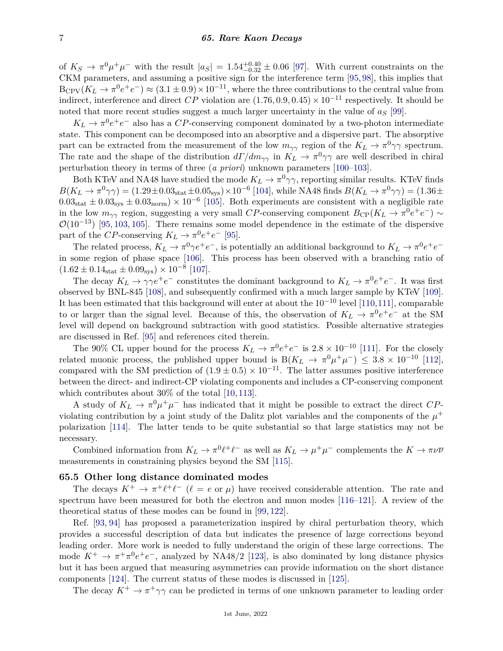of  $K_S \to \pi^0 \mu^+ \mu^-$  with the result  $|a_S| = 1.54_{-0.32}^{+0.40} \pm 0.06$  [\[97\]](#page-9-25). With current constraints on the CKM parameters, and assuming a positive sign for the interference term [\[95,](#page-9-23) [98\]](#page-9-26), this implies that  $B_{\rm CPV}(K_L \to \pi^0 e^+ e^-) \approx (3.1 \pm 0.9) \times 10^{-11}$ , where the three contributions to the central value from indirect, interference and direct  $CP$  violation are  $(1.76, 0.9, 0.45) \times 10^{-11}$  respectively. It should be noted that more recent studies suggest a much larger uncertainty in the value of *a<sup>S</sup>* [\[99\]](#page-9-27).

 $K_L \rightarrow \pi^0 e^+ e^-$  also has a *CP*-conserving component dominated by a two-photon intermediate state. This component can be decomposed into an absorptive and a dispersive part. The absorptive part can be extracted from the measurement of the low  $m_{\gamma\gamma}$  region of the  $K_L \to \pi^0 \gamma \gamma$  spectrum. The rate and the shape of the distribution  $d\Gamma/dm_{\gamma\gamma}$  in  $K_L \to \pi^0 \gamma \gamma$  are well described in chiral perturbation theory in terms of three (*a priori*) unknown parameters [\[100](#page-9-28)[–103\]](#page-9-29).

Both KTeV and NA48 have studied the mode  $K_L \to \pi^0 \gamma \gamma$ , reporting similar results. KTeV finds  $B(K_L \to \pi^0 \gamma \gamma) = (1.29 \pm 0.03_{\text{stat}} \pm 0.05_{\text{sys}}) \times 10^{-6}$  [\[104\]](#page-10-0), while NA48 finds  $B(K_L \to \pi^0 \gamma \gamma) = (1.36 \pm 0.05_{\text{sys}})$  $0.03<sub>stat</sub> \pm 0.03<sub>sys</sub> \pm 0.03<sub>norm</sub> \times 10<sup>-6</sup>$  [\[105\]](#page-10-1). Both experiments are consistent with a negligible rate in the low  $m_{\gamma\gamma}$  region, suggesting a very small *CP*-conserving component  $B_{\text{CP}}(K_L \to \pi^0 e^+ e^-) \sim$  $\mathcal{O}(10^{-13})$  [\[95,](#page-9-23) [103,](#page-9-29) [105\]](#page-10-1). There remains some model dependence in the estimate of the dispersive part of the *CP*-conserving  $K_L \to \pi^0 e^+ e^-$  [\[95\]](#page-9-23).

The related process,  $K_L \to \pi^0 \gamma e^+ e^-$ , is potentially an additional background to  $K_L \to \pi^0 e^+ e^$ in some region of phase space [\[106\]](#page-10-2). This process has been observed with a branching ratio of  $(1.62 \pm 0.14<sub>stat</sub> \pm 0.09<sub>sys</sub>) \times 10<sup>-8</sup>$  [\[107\]](#page-10-3).

The decay  $K_L \to \gamma \gamma e^+ e^-$  constitutes the dominant background to  $K_L \to \pi^0 e^+ e^-$ . It was first observed by BNL-845 [\[108\]](#page-10-4), and subsequently confirmed with a much larger sample by KTeV [\[109\]](#page-10-5). It has been estimated that this background will enter at about the 10−<sup>10</sup> level [\[110,](#page-10-6)[111\]](#page-10-7), comparable to or larger than the signal level. Because of this, the observation of  $K_L \to \pi^0 e^+ e^-$  at the SM level will depend on background subtraction with good statistics. Possible alternative strategies are discussed in Ref. [\[95\]](#page-9-23) and references cited therein.

The 90% CL upper bound for the process  $K_L \to \pi^0 e^+ e^-$  is  $2.8 \times 10^{-10}$  [\[111\]](#page-10-7). For the closely related muonic process, the published upper bound is  $B(K_L \to \pi^0 \mu^+ \mu^-) \leq 3.8 \times 10^{-10}$  [\[112\]](#page-10-8), compared with the SM prediction of  $(1.9 \pm 0.5) \times 10^{-11}$ . The latter assumes positive interference between the direct- and indirect-CP violating components and includes a CP-conserving component which contributes about 30% of the total [\[10,](#page-7-19) [113\]](#page-10-9).

A study of  $K_L \to \pi^0 \mu^+ \mu^-$  has indicated that it might be possible to extract the direct *CP*violating contribution by a joint study of the Dalitz plot variables and the components of the  $\mu^+$ polarization [\[114\]](#page-10-10). The latter tends to be quite substantial so that large statistics may not be necessary.

Combined information from  $K_L \to \pi^0 \ell^+ \ell^-$  as well as  $K_L \to \mu^+ \mu^-$  complements the  $K \to \pi \nu \bar{\nu}$ measurements in constraining physics beyond the SM [\[115\]](#page-10-11).

#### **65.5 Other long distance dominated modes**

The decays  $K^+ \to \pi^+ \ell^+ \ell^-$  ( $\ell = e$  or  $\mu$ ) have received considerable attention. The rate and spectrum have been measured for both the electron and muon modes [\[116–](#page-10-12)[121\]](#page-10-13). A review of the theoretical status of these modes can be found in [\[99,](#page-9-27) [122\]](#page-10-14).

Ref. [\[93,](#page-9-22) [94\]](#page-9-30) has proposed a parameterization inspired by chiral perturbation theory, which provides a successful description of data but indicates the presence of large corrections beyond leading order. More work is needed to fully understand the origin of these large corrections. The mode  $K^+ \to \pi^+\pi^0 e^+e^-$ , analyzed by NA48/2 [\[123\]](#page-10-15), is also dominated by long distance physics but it has been argued that measuring asymmetries can provide information on the short distance components [\[124\]](#page-10-16). The current status of these modes is discussed in [\[125\]](#page-10-17).

The decay  $K^+ \to \pi^+ \gamma \gamma$  can be predicted in terms of one unknown parameter to leading order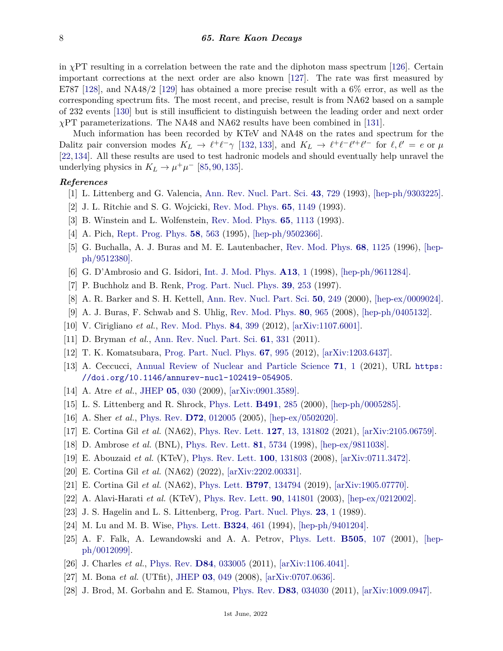in  $\chi$ PT resulting in a correlation between the rate and the diphoton mass spectrum [\[126\]](#page-10-18). Certain important corrections at the next order are also known [\[127\]](#page-10-19). The rate was first measured by E787 [\[128\]](#page-10-20), and NA48/2 [\[129\]](#page-10-21) has obtained a more precise result with a 6\% error, as well as the corresponding spectrum fits. The most recent, and precise, result is from NA62 based on a sample of 232 events [\[130\]](#page-10-22) but is still insufficient to distinguish between the leading order and next order *χ*PT parameterizations. The NA48 and NA62 results have been combined in [\[131\]](#page-10-23).

Much information has been recorded by KTeV and NA48 on the rates and spectrum for the Dalitz pair conversion modes  $K_L \to \ell^+ \ell^- \gamma$  [\[132,](#page-10-24) [133\]](#page-10-25), and  $K_L \to \ell^+ \ell^- \ell'^+ \ell'^-$  for  $\ell, \ell' = e$  or  $\mu$ [\[22,](#page-7-11)[134\]](#page-10-26). All these results are used to test hadronic models and should eventually help unravel the underlying physics in  $K_L \rightarrow \mu^+ \mu^-$  [\[85,](#page-9-14) [90,](#page-9-19) [135\]](#page-10-27).

### <span id="page-7-0"></span>*References*

- [1] L. Littenberg and G. Valencia, [Ann. Rev. Nucl. Part. Sci.](http://doi.org/10.1146/annurev.ns.43.120193.003501) **43**[, 729](http://doi.org/10.1146/annurev.ns.43.120193.003501) (1993), [\[hep-ph/9303225\].](https://arxiv.org/abs/hep-ph/9303225)
- <span id="page-7-2"></span>[2] J. L. Ritchie and S. G. Wojcicki, [Rev. Mod. Phys.](http://doi.org/10.1103/RevModPhys.65.1149) **65**[, 1149](http://doi.org/10.1103/RevModPhys.65.1149) (1993).
- [3] B. Winstein and L. Wolfenstein, [Rev. Mod. Phys.](http://doi.org/10.1103/RevModPhys.65.1113) **65**[, 1113](http://doi.org/10.1103/RevModPhys.65.1113) (1993).
- <span id="page-7-18"></span>[4] A. Pich, [Rept. Prog. Phys.](http://doi.org/10.1088/0034-4885/58/6/001) **58**[, 563](http://doi.org/10.1088/0034-4885/58/6/001) (1995), [\[hep-ph/9502366\].](https://arxiv.org/abs/hep-ph/9502366)
- [5] G. Buchalla, A. J. Buras and M. E. Lautenbacher, [Rev. Mod. Phys.](http://doi.org/10.1103/RevModPhys.68.1125) **68**[, 1125](http://doi.org/10.1103/RevModPhys.68.1125) (1996), [\[hep](https://arxiv.org/abs/hep-ph/9512380)[ph/9512380\].](https://arxiv.org/abs/hep-ph/9512380)
- [6] G. D'Ambrosio and G. Isidori, [Int. J. Mod. Phys.](http://doi.org/10.1142/S0217751X98000020) **[A13](http://doi.org/10.1142/S0217751X98000020)**, 1 (1998), [\[hep-ph/9611284\].](https://arxiv.org/abs/hep-ph/9611284)
- [7] P. Buchholz and B. Renk, [Prog. Part. Nucl. Phys.](http://doi.org/10.1016/S0146-6410(97)00045-8) **39**[, 253](http://doi.org/10.1016/S0146-6410(97)00045-8) (1997).
- [8] A. R. Barker and S. H. Kettell, [Ann. Rev. Nucl. Part. Sci.](http://doi.org/10.1146/annurev.nucl.50.1.249) **50**[, 249](http://doi.org/10.1146/annurev.nucl.50.1.249) (2000), [\[hep-ex/0009024\].](https://arxiv.org/abs/hep-ex/0009024)
- <span id="page-7-17"></span>[9] A. J. Buras, F. Schwab and S. Uhlig, [Rev. Mod. Phys.](http://doi.org/10.1103/RevModPhys.80.965) **80**[, 965](http://doi.org/10.1103/RevModPhys.80.965) (2008), [\[hep-ph/0405132\].](https://arxiv.org/abs/hep-ph/0405132)
- <span id="page-7-19"></span>[10] V. Cirigliano *et al.*, [Rev. Mod. Phys.](http://doi.org/10.1103/RevModPhys.84.399) **84**[, 399](http://doi.org/10.1103/RevModPhys.84.399) (2012), [\[arXiv:1107.6001\].](https://arxiv.org/abs/1107.6001)
- [11] D. Bryman *et al.*, [Ann. Rev. Nucl. Part. Sci.](http://doi.org/10.1146/annurev-nucl-102010-130431) **61**[, 331](http://doi.org/10.1146/annurev-nucl-102010-130431) (2011).
- [12] T. K. Komatsubara, [Prog. Part. Nucl. Phys.](http://doi.org/10.1016/j.ppnp.2012.04.001) **67**[, 995](http://doi.org/10.1016/j.ppnp.2012.04.001) (2012), [\[arXiv:1203.6437\].](https://arxiv.org/abs/1203.6437)
- <span id="page-7-1"></span>[13] A. Ceccucci, [Annual Review of Nuclear and Particle Science](http://doi.org/10.1146/annurev-nucl-102419-054905) **71**[, 1](http://doi.org/10.1146/annurev-nucl-102419-054905) (2021), URL [https:](https://doi.org/10.1146/annurev-nucl-102419-054905) [//doi.org/10.1146/annurev-nucl-102419-054905](https://doi.org/10.1146/annurev-nucl-102419-054905).
- <span id="page-7-4"></span><span id="page-7-3"></span>[14] A. Atre *et al.*, [JHEP](http://doi.org/10.1088/1126-6708/2009/05/030) **05**[, 030](http://doi.org/10.1088/1126-6708/2009/05/030) (2009), [\[arXiv:0901.3589\].](https://arxiv.org/abs/0901.3589)
- [15] L. S. Littenberg and R. Shrock, [Phys. Lett.](http://doi.org/10.1016/S0370-2693(00)01041-8) **[B491](http://doi.org/10.1016/S0370-2693(00)01041-8)**, 285 (2000), [\[hep-ph/0005285\].](https://arxiv.org/abs/hep-ph/0005285)
- <span id="page-7-5"></span>[16] A. Sher *et al.*, [Phys. Rev.](http://doi.org/10.1103/PhysRevD.72.012005) **D72**[, 012005](http://doi.org/10.1103/PhysRevD.72.012005) (2005), [\[hep-ex/0502020\].](https://arxiv.org/abs/hep-ex/0502020)
- <span id="page-7-6"></span>[17] E. Cortina Gil *et al.* (NA62), [Phys. Rev. Lett.](http://doi.org/10.1103/PhysRevLett.127.131802) **127**[, 13, 131802](http://doi.org/10.1103/PhysRevLett.127.131802) (2021), [\[arXiv:2105.06759\].](https://arxiv.org/abs/2105.06759)
- <span id="page-7-7"></span>[18] D. Ambrose *et al.* (BNL), [Phys. Rev. Lett.](http://doi.org/10.1103/PhysRevLett.81.5734) **81**[, 5734](http://doi.org/10.1103/PhysRevLett.81.5734) (1998), [\[hep-ex/9811038\].](https://arxiv.org/abs/hep-ex/9811038)
- <span id="page-7-8"></span>[19] E. Abouzaid *et al.* (KTeV), [Phys. Rev. Lett.](http://doi.org/10.1103/PhysRevLett.100.131803) **100**[, 131803](http://doi.org/10.1103/PhysRevLett.100.131803) (2008), [\[arXiv:0711.3472\].](https://arxiv.org/abs/0711.3472)
- <span id="page-7-9"></span>[20] E. Cortina Gil *et al.* (NA62) (2022), [\[arXiv:2202.00331\].](https://arxiv.org/abs/2202.00331)
- <span id="page-7-10"></span>[21] E. Cortina Gil *et al.* (NA62), [Phys. Lett.](http://doi.org/10.1016/j.physletb.2019.07.041) **B797**[, 134794](http://doi.org/10.1016/j.physletb.2019.07.041) (2019), [\[arXiv:1905.07770\].](https://arxiv.org/abs/1905.07770)
- <span id="page-7-12"></span><span id="page-7-11"></span>[22] A. Alavi-Harati *et al.* (KTeV), [Phys. Rev. Lett.](http://doi.org/10.1103/PhysRevLett.90.141801) **90**[, 141801](http://doi.org/10.1103/PhysRevLett.90.141801) (2003), [\[hep-ex/0212002\].](https://arxiv.org/abs/hep-ex/0212002)
- [23] J. S. Hagelin and L. S. Littenberg, [Prog. Part. Nucl. Phys.](http://doi.org/10.1016/0146-6410(89)90007-0) **[23](http://doi.org/10.1016/0146-6410(89)90007-0)**, 1 (1989).
- [24] M. Lu and M. B. Wise, [Phys. Lett.](http://doi.org/10.1016/0370-2693(94)90223-2) **[B324](http://doi.org/10.1016/0370-2693(94)90223-2)**, 461 (1994), [\[hep-ph/9401204\].](https://arxiv.org/abs/hep-ph/9401204)
- <span id="page-7-13"></span>[25] A. F. Falk, A. Lewandowski and A. A. Petrov, [Phys. Lett.](http://doi.org/10.1016/S0370-2693(01)00343-4) **[B505](http://doi.org/10.1016/S0370-2693(01)00343-4)**, 107 (2001), [\[hep](https://arxiv.org/abs/hep-ph/0012099)[ph/0012099\].](https://arxiv.org/abs/hep-ph/0012099)
- <span id="page-7-14"></span>[26] J. Charles *et al.*, [Phys. Rev.](http://doi.org/10.1103/PhysRevD.84.033005) **D84**[, 033005](http://doi.org/10.1103/PhysRevD.84.033005) (2011), [\[arXiv:1106.4041\].](https://arxiv.org/abs/1106.4041)
- <span id="page-7-15"></span>[27] M. Bona *et al.* (UTfit), [JHEP](http://doi.org/10.1088/1126-6708/2008/03/049) **03**[, 049](http://doi.org/10.1088/1126-6708/2008/03/049) (2008), [\[arXiv:0707.0636\].](https://arxiv.org/abs/0707.0636)
- <span id="page-7-16"></span>[28] J. Brod, M. Gorbahn and E. Stamou, [Phys. Rev.](http://doi.org/10.1103/PhysRevD.83.034030) **D83**[, 034030](http://doi.org/10.1103/PhysRevD.83.034030) (2011), [\[arXiv:1009.0947\].](https://arxiv.org/abs/1009.0947)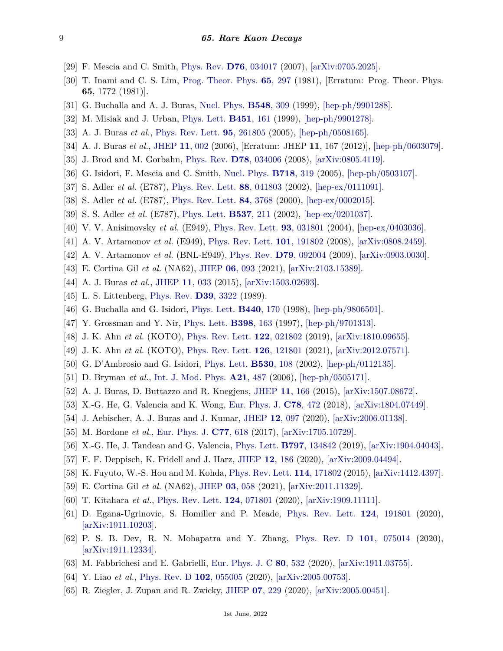- <span id="page-8-0"></span>[29] F. Mescia and C. Smith, [Phys. Rev.](http://doi.org/10.1103/PhysRevD.76.034017) **D76**[, 034017](http://doi.org/10.1103/PhysRevD.76.034017) (2007), [\[arXiv:0705.2025\].](https://arxiv.org/abs/0705.2025)
- <span id="page-8-1"></span>[30] T. Inami and C. S. Lim, [Prog. Theor. Phys.](http://doi.org/10.1143/PTP.65.297) **65**[, 297](http://doi.org/10.1143/PTP.65.297) (1981), [Erratum: Prog. Theor. Phys. **65**, 1772 (1981)].
- <span id="page-8-2"></span>[31] G. Buchalla and A. J. Buras, [Nucl. Phys.](http://doi.org/10.1016/S0550-3213(99)00149-2) **[B548](http://doi.org/10.1016/S0550-3213(99)00149-2)**, 309 (1999), [\[hep-ph/9901288\].](https://arxiv.org/abs/hep-ph/9901288)
- <span id="page-8-3"></span>[32] M. Misiak and J. Urban, [Phys. Lett.](http://doi.org/10.1016/S0370-2693(99)00150-1) **[B451](http://doi.org/10.1016/S0370-2693(99)00150-1)**, 161 (1999), [\[hep-ph/9901278\].](https://arxiv.org/abs/hep-ph/9901278)
- <span id="page-8-4"></span>[33] A. J. Buras *et al.*, [Phys. Rev. Lett.](http://doi.org/10.1103/PhysRevLett.95.261805) **95**[, 261805](http://doi.org/10.1103/PhysRevLett.95.261805) (2005), [\[hep-ph/0508165\].](https://arxiv.org/abs/hep-ph/0508165)
- <span id="page-8-5"></span>[34] A. J. Buras *et al.*, [JHEP](http://doi.org/10.1007/JHEP11(2012)167) **11**[, 002](http://doi.org/10.1007/JHEP11(2012)167) (2006), [Erratum: JHEP **11**, 167 (2012)], [\[hep-ph/0603079\].](https://arxiv.org/abs/hep-ph/0603079)
- <span id="page-8-6"></span>[35] J. Brod and M. Gorbahn, [Phys. Rev.](http://doi.org/10.1103/PhysRevD.78.034006) **D78**[, 034006](http://doi.org/10.1103/PhysRevD.78.034006) (2008), [\[arXiv:0805.4119\].](https://arxiv.org/abs/0805.4119)
- <span id="page-8-7"></span>[36] G. Isidori, F. Mescia and C. Smith, [Nucl. Phys.](http://doi.org/10.1016/j.nuclphysb.2005.04.008) **[B718](http://doi.org/10.1016/j.nuclphysb.2005.04.008)**, 319 (2005), [\[hep-ph/0503107\].](https://arxiv.org/abs/hep-ph/0503107)
- <span id="page-8-8"></span>[37] S. Adler *et al.* (E787), [Phys. Rev. Lett.](http://doi.org/10.1103/PhysRevLett.88.041803) **88**[, 041803](http://doi.org/10.1103/PhysRevLett.88.041803) (2002), [\[hep-ex/0111091\].](https://arxiv.org/abs/hep-ex/0111091)
- <span id="page-8-9"></span>[38] S. Adler *et al.* (E787), [Phys. Rev. Lett.](http://doi.org/10.1103/PhysRevLett.84.3768) **84**[, 3768](http://doi.org/10.1103/PhysRevLett.84.3768) (2000), [\[hep-ex/0002015\].](https://arxiv.org/abs/hep-ex/0002015)
- <span id="page-8-10"></span>[39] S. S. Adler *et al.* (E787), [Phys. Lett.](http://doi.org/10.1016/S0370-2693(02)01911-1) **[B537](http://doi.org/10.1016/S0370-2693(02)01911-1)**, 211 (2002), [\[hep-ex/0201037\].](https://arxiv.org/abs/hep-ex/0201037)
- <span id="page-8-11"></span>[40] V. V. Anisimovsky *et al.* (E949), [Phys. Rev. Lett.](http://doi.org/10.1103/PhysRevLett.93.031801) **93**[, 031801](http://doi.org/10.1103/PhysRevLett.93.031801) (2004), [\[hep-ex/0403036\].](https://arxiv.org/abs/hep-ex/0403036)
- <span id="page-8-12"></span>[41] A. V. Artamonov *et al.* (E949), [Phys. Rev. Lett.](http://doi.org/10.1103/PhysRevLett.101.191802) **101**[, 191802](http://doi.org/10.1103/PhysRevLett.101.191802) (2008), [\[arXiv:0808.2459\].](https://arxiv.org/abs/0808.2459)
- <span id="page-8-13"></span>[42] A. V. Artamonov *et al.* (BNL-E949), [Phys. Rev.](http://doi.org/10.1103/PhysRevD.79.092004) **D79**[, 092004](http://doi.org/10.1103/PhysRevD.79.092004) (2009), [\[arXiv:0903.0030\].](https://arxiv.org/abs/0903.0030)
- <span id="page-8-14"></span>[43] E. Cortina Gil *et al.* (NA62), [JHEP](http://doi.org/10.1007/JHEP06(2021)093) **06**[, 093](http://doi.org/10.1007/JHEP06(2021)093) (2021), [\[arXiv:2103.15389\].](https://arxiv.org/abs/2103.15389)
- <span id="page-8-15"></span>[44] A. J. Buras *et al.*, [JHEP](http://doi.org/10.1007/JHEP11(2015)033) **11**[, 033](http://doi.org/10.1007/JHEP11(2015)033) (2015), [\[arXiv:1503.02693\].](https://arxiv.org/abs/1503.02693)
- <span id="page-8-16"></span>[45] L. S. Littenberg, [Phys. Rev.](http://doi.org/10.1103/PhysRevD.39.3322) **D39**[, 3322](http://doi.org/10.1103/PhysRevD.39.3322) (1989).
- <span id="page-8-17"></span>[46] G. Buchalla and G. Isidori, [Phys. Lett.](http://doi.org/10.1016/S0370-2693(98)01088-0) **[B440](http://doi.org/10.1016/S0370-2693(98)01088-0)**, 170 (1998), [\[hep-ph/9806501\].](https://arxiv.org/abs/hep-ph/9806501)
- <span id="page-8-18"></span>[47] Y. Grossman and Y. Nir, [Phys. Lett.](http://doi.org/10.1016/S0370-2693(97)00210-4) **[B398](http://doi.org/10.1016/S0370-2693(97)00210-4)**, 163 (1997), [\[hep-ph/9701313\].](https://arxiv.org/abs/hep-ph/9701313)
- <span id="page-8-19"></span>[48] J. K. Ahn *et al.* (KOTO), [Phys. Rev. Lett.](http://doi.org/10.1103/PhysRevLett.122.021802) **122**[, 021802](http://doi.org/10.1103/PhysRevLett.122.021802) (2019), [\[arXiv:1810.09655\].](https://arxiv.org/abs/1810.09655)
- <span id="page-8-20"></span>[49] J. K. Ahn *et al.* (KOTO), [Phys. Rev. Lett.](http://doi.org/10.1103/PhysRevLett.126.121801) **126**[, 121801](http://doi.org/10.1103/PhysRevLett.126.121801) (2021), [\[arXiv:2012.07571\].](https://arxiv.org/abs/2012.07571)
- <span id="page-8-21"></span>[50] G. D'Ambrosio and G. Isidori, [Phys. Lett.](http://doi.org/10.1016/S0370-2693(02)01328-X) **[B530](http://doi.org/10.1016/S0370-2693(02)01328-X)**, 108 (2002), [\[hep-ph/0112135\].](https://arxiv.org/abs/hep-ph/0112135)
- [51] D. Bryman *et al.*, [Int. J. Mod. Phys.](http://doi.org/10.1142/S0217751X06028448) **A21**[, 487](http://doi.org/10.1142/S0217751X06028448) (2006), [\[hep-ph/0505171\].](https://arxiv.org/abs/hep-ph/0505171)
- [52] A. J. Buras, D. Buttazzo and R. Knegjens, [JHEP](http://doi.org/10.1007/JHEP11(2015)166) **11**[, 166](http://doi.org/10.1007/JHEP11(2015)166) (2015), [\[arXiv:1507.08672\].](https://arxiv.org/abs/1507.08672)
- [53] X.-G. He, G. Valencia and K. Wong, [Eur. Phys. J.](http://doi.org/10.1140/epjc/s10052-018-5964-0) **C78**[, 472](http://doi.org/10.1140/epjc/s10052-018-5964-0) (2018), [\[arXiv:1804.07449\].](https://arxiv.org/abs/1804.07449)
- <span id="page-8-22"></span>[54] J. Aebischer, A. J. Buras and J. Kumar, [JHEP](http://doi.org/10.1007/JHEP12(2020)097) **12**[, 097](http://doi.org/10.1007/JHEP12(2020)097) (2020), [\[arXiv:2006.01138\].](https://arxiv.org/abs/2006.01138)
- <span id="page-8-23"></span>[55] M. Bordone *et al.*, [Eur. Phys. J.](http://doi.org/10.1140/epjc/s10052-017-5202-1) **C77**[, 618](http://doi.org/10.1140/epjc/s10052-017-5202-1) (2017), [\[arXiv:1705.10729\].](https://arxiv.org/abs/1705.10729)
- [56] X.-G. He, J. Tandean and G. Valencia, [Phys. Lett.](http://doi.org/10.1016/j.physletb.2019.134842) **B797**[, 134842](http://doi.org/10.1016/j.physletb.2019.134842) (2019), [\[arXiv:1904.04043\].](https://arxiv.org/abs/1904.04043)
- <span id="page-8-24"></span>[57] F. F. Deppisch, K. Fridell and J. Harz, [JHEP](http://doi.org/10.1007/JHEP12(2020)186) **12**[, 186](http://doi.org/10.1007/JHEP12(2020)186) (2020), [\[arXiv:2009.04494\].](https://arxiv.org/abs/2009.04494)
- <span id="page-8-25"></span>[58] K. Fuyuto, W.-S. Hou and M. Kohda, [Phys. Rev. Lett.](http://doi.org/10.1103/PhysRevLett.114.171802) **114**[, 171802](http://doi.org/10.1103/PhysRevLett.114.171802) (2015), [\[arXiv:1412.4397\].](https://arxiv.org/abs/1412.4397)
- <span id="page-8-26"></span>[59] E. Cortina Gil *et al.* (NA62), [JHEP](http://doi.org/10.1007/JHEP03(2021)058) **03**[, 058](http://doi.org/10.1007/JHEP03(2021)058) (2021), [\[arXiv:2011.11329\].](https://arxiv.org/abs/2011.11329)
- <span id="page-8-27"></span>[60] T. Kitahara *et al.*, [Phys. Rev. Lett.](http://doi.org/10.1103/PhysRevLett.124.071801) **124**[, 071801](http://doi.org/10.1103/PhysRevLett.124.071801) (2020), [\[arXiv:1909.11111\].](https://arxiv.org/abs/1909.11111)
- [61] D. Egana-Ugrinovic, S. Homiller and P. Meade, [Phys. Rev. Lett.](http://doi.org/10.1103/PhysRevLett.124.191801) **124**[, 191801](http://doi.org/10.1103/PhysRevLett.124.191801) (2020), [\[arXiv:1911.10203\].](https://arxiv.org/abs/1911.10203)
- [62] P. S. B. Dev, R. N. Mohapatra and Y. Zhang, [Phys. Rev. D](http://doi.org/10.1103/PhysRevD.101.075014) **101**[, 075014](http://doi.org/10.1103/PhysRevD.101.075014) (2020), [\[arXiv:1911.12334\].](https://arxiv.org/abs/1911.12334)
- [63] M. Fabbrichesi and E. Gabrielli, [Eur. Phys. J. C](http://doi.org/10.1140/epjc/s10052-020-8103-7) **80**[, 532](http://doi.org/10.1140/epjc/s10052-020-8103-7) (2020), [\[arXiv:1911.03755\].](https://arxiv.org/abs/1911.03755)
- [64] Y. Liao *et al.*, [Phys. Rev. D](http://doi.org/10.1103/PhysRevD.102.055005) **102**[, 055005](http://doi.org/10.1103/PhysRevD.102.055005) (2020), [\[arXiv:2005.00753\].](https://arxiv.org/abs/2005.00753)
- [65] R. Ziegler, J. Zupan and R. Zwicky, [JHEP](http://doi.org/10.1007/JHEP07(2020)229) **07**[, 229](http://doi.org/10.1007/JHEP07(2020)229) (2020), [\[arXiv:2005.00451\].](https://arxiv.org/abs/2005.00451)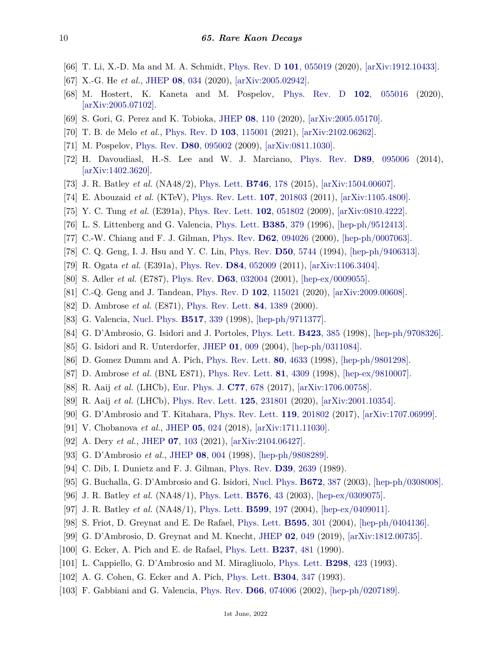- [66] T. Li, X.-D. Ma and M. A. Schmidt, [Phys. Rev. D](http://doi.org/10.1103/PhysRevD.101.055019) **101**[, 055019](http://doi.org/10.1103/PhysRevD.101.055019) (2020), [\[arXiv:1912.10433\].](https://arxiv.org/abs/1912.10433)
- [67] X.-G. He *et al.*, [JHEP](http://doi.org/10.1007/JHEP08(2020)034) **08**[, 034](http://doi.org/10.1007/JHEP08(2020)034) (2020), [\[arXiv:2005.02942\].](https://arxiv.org/abs/2005.02942)
- [68] M. Hostert, K. Kaneta and M. Pospelov, [Phys. Rev. D](http://doi.org/10.1103/PhysRevD.102.055016) **102**[, 055016](http://doi.org/10.1103/PhysRevD.102.055016) (2020), [\[arXiv:2005.07102\].](https://arxiv.org/abs/2005.07102)
- [69] S. Gori, G. Perez and K. Tobioka, [JHEP](http://doi.org/10.1007/JHEP08(2020)110) **08**[, 110](http://doi.org/10.1007/JHEP08(2020)110) (2020), [\[arXiv:2005.05170\].](https://arxiv.org/abs/2005.05170)
- <span id="page-9-0"></span>[70] T. B. de Melo *et al.*, [Phys. Rev. D](http://doi.org/10.1103/PhysRevD.103.115001) **103**[, 115001](http://doi.org/10.1103/PhysRevD.103.115001) (2021), [\[arXiv:2102.06262\].](https://arxiv.org/abs/2102.06262)
- <span id="page-9-1"></span>[71] M. Pospelov, [Phys. Rev.](http://doi.org/10.1103/PhysRevD.80.095002) **D80**[, 095002](http://doi.org/10.1103/PhysRevD.80.095002) (2009), [\[arXiv:0811.1030\].](https://arxiv.org/abs/0811.1030)
- <span id="page-9-2"></span>[72] H. Davoudiasl, H.-S. Lee and W. J. Marciano, [Phys. Rev.](http://doi.org/10.1103/PhysRevD.89.095006) **D89**[, 095006](http://doi.org/10.1103/PhysRevD.89.095006) (2014), [\[arXiv:1402.3620\].](https://arxiv.org/abs/1402.3620)
- <span id="page-9-3"></span>[73] J. R. Batley *et al.* (NA48/2), [Phys. Lett.](http://doi.org/10.1016/j.physletb.2015.04.068) **[B746](http://doi.org/10.1016/j.physletb.2015.04.068)**, 178 (2015), [\[arXiv:1504.00607\].](https://arxiv.org/abs/1504.00607)
- <span id="page-9-4"></span>[74] E. Abouzaid *et al.* (KTeV), [Phys. Rev. Lett.](http://doi.org/10.1103/PhysRevLett.107.201803) **107**[, 201803](http://doi.org/10.1103/PhysRevLett.107.201803) (2011), [\[arXiv:1105.4800\].](https://arxiv.org/abs/1105.4800)
- <span id="page-9-5"></span>[75] Y. C. Tung *et al.* (E391a), [Phys. Rev. Lett.](http://doi.org/10.1103/PhysRevLett.102.051802) **102**[, 051802](http://doi.org/10.1103/PhysRevLett.102.051802) (2009), [\[arXiv:0810.4222\].](https://arxiv.org/abs/0810.4222)
- <span id="page-9-6"></span>[76] L. S. Littenberg and G. Valencia, [Phys. Lett.](http://doi.org/10.1016/0370-2693(96)00845-3) **[B385](http://doi.org/10.1016/0370-2693(96)00845-3)**, 379 (1996), [\[hep-ph/9512413\].](https://arxiv.org/abs/hep-ph/9512413)
- [77] C.-W. Chiang and F. J. Gilman, [Phys. Rev.](http://doi.org/10.1103/PhysRevD.62.094026) **D62**[, 094026](http://doi.org/10.1103/PhysRevD.62.094026) (2000), [\[hep-ph/0007063\].](https://arxiv.org/abs/hep-ph/0007063)
- <span id="page-9-7"></span>[78] C. Q. Geng, I. J. Hsu and Y. C. Lin, [Phys. Rev.](http://doi.org/10.1103/PhysRevD.50.5744) **D50**[, 5744](http://doi.org/10.1103/PhysRevD.50.5744) (1994), [\[hep-ph/9406313\].](https://arxiv.org/abs/hep-ph/9406313)
- <span id="page-9-8"></span>[79] R. Ogata *et al.* (E391a), [Phys. Rev.](http://doi.org/10.1103/PhysRevD.84.052009) **D84**[, 052009](http://doi.org/10.1103/PhysRevD.84.052009) (2011), [\[arXiv:1106.3404\].](https://arxiv.org/abs/1106.3404)
- <span id="page-9-9"></span>[80] S. Adler *et al.* (E787), [Phys. Rev.](http://doi.org/10.1103/PhysRevD.63.032004) **D63**[, 032004](http://doi.org/10.1103/PhysRevD.63.032004) (2001), [\[hep-ex/0009055\].](https://arxiv.org/abs/hep-ex/0009055)
- <span id="page-9-10"></span>[81] C.-Q. Geng and J. Tandean, [Phys. Rev. D](http://doi.org/10.1103/PhysRevD.102.115021) **102**[, 115021](http://doi.org/10.1103/PhysRevD.102.115021) (2020), [\[arXiv:2009.00608\].](https://arxiv.org/abs/2009.00608)
- <span id="page-9-11"></span>[82] D. Ambrose *et al.* (E871), [Phys. Rev. Lett.](http://doi.org/10.1103/PhysRevLett.84.1389) **84**[, 1389](http://doi.org/10.1103/PhysRevLett.84.1389) (2000).
- <span id="page-9-12"></span>[83] G. Valencia, [Nucl. Phys.](http://doi.org/10.1016/S0550-3213(98)00116-3) **[B517](http://doi.org/10.1016/S0550-3213(98)00116-3)**, 339 (1998), [\[hep-ph/9711377\].](https://arxiv.org/abs/hep-ph/9711377)
- <span id="page-9-13"></span>[84] G. D'Ambrosio, G. Isidori and J. Portoles, [Phys. Lett.](http://doi.org/10.1016/S0370-2693(98)00146-4) **[B423](http://doi.org/10.1016/S0370-2693(98)00146-4)**, 385 (1998), [\[hep-ph/9708326\].](https://arxiv.org/abs/hep-ph/9708326)
- <span id="page-9-14"></span>[85] G. Isidori and R. Unterdorfer, [JHEP](http://doi.org/10.1088/1126-6708/2004/01/009) **01**[, 009](http://doi.org/10.1088/1126-6708/2004/01/009) (2004), [\[hep-ph/0311084\].](https://arxiv.org/abs/hep-ph/0311084)
- <span id="page-9-15"></span>[86] D. Gomez Dumm and A. Pich, [Phys. Rev. Lett.](http://doi.org/10.1103/PhysRevLett.80.4633) **80**[, 4633](http://doi.org/10.1103/PhysRevLett.80.4633) (1998), [\[hep-ph/9801298\].](https://arxiv.org/abs/hep-ph/9801298)
- <span id="page-9-16"></span>[87] D. Ambrose *et al.* (BNL E871), [Phys. Rev. Lett.](http://doi.org/10.1103/PhysRevLett.81.4309) **81**[, 4309](http://doi.org/10.1103/PhysRevLett.81.4309) (1998), [\[hep-ex/9810007\].](https://arxiv.org/abs/hep-ex/9810007)
- <span id="page-9-17"></span>[88] R. Aaij *et al.* (LHCb), [Eur. Phys. J.](http://doi.org/10.1140/epjc/s10052-017-5230-x) **C77**[, 678](http://doi.org/10.1140/epjc/s10052-017-5230-x) (2017), [\[arXiv:1706.00758\].](https://arxiv.org/abs/1706.00758)
- <span id="page-9-18"></span>[89] R. Aaij *et al.* (LHCb), [Phys. Rev. Lett.](http://doi.org/10.1103/PhysRevLett.125.231801) **125**[, 231801](http://doi.org/10.1103/PhysRevLett.125.231801) (2020), [\[arXiv:2001.10354\].](https://arxiv.org/abs/2001.10354)
- <span id="page-9-19"></span>[90] G. D'Ambrosio and T. Kitahara, [Phys. Rev. Lett.](http://doi.org/10.1103/PhysRevLett.119.201802) **119**[, 201802](http://doi.org/10.1103/PhysRevLett.119.201802) (2017), [\[arXiv:1707.06999\].](https://arxiv.org/abs/1707.06999)
- <span id="page-9-20"></span>[91] V. Chobanova *et al.*, [JHEP](http://doi.org/10.1007/JHEP05(2018)024) **05**[, 024](http://doi.org/10.1007/JHEP05(2018)024) (2018), [\[arXiv:1711.11030\].](https://arxiv.org/abs/1711.11030)
- <span id="page-9-21"></span>[92] A. Dery *et al.*, [JHEP](http://doi.org/10.1007/JHEP07(2021)103) **07**[, 103](http://doi.org/10.1007/JHEP07(2021)103) (2021), [\[arXiv:2104.06427\].](https://arxiv.org/abs/2104.06427)
- <span id="page-9-22"></span>[93] G. D'Ambrosio *et al.*, [JHEP](http://doi.org/10.1088/1126-6708/1998/08/004) **08**[, 004](http://doi.org/10.1088/1126-6708/1998/08/004) (1998), [\[hep-ph/9808289\].](https://arxiv.org/abs/hep-ph/9808289)
- <span id="page-9-30"></span>[94] C. Dib, I. Dunietz and F. J. Gilman, [Phys. Rev.](http://doi.org/10.1103/PhysRevD.39.2639) **D39**[, 2639](http://doi.org/10.1103/PhysRevD.39.2639) (1989).
- <span id="page-9-24"></span><span id="page-9-23"></span>[95] G. Buchalla, G. D'Ambrosio and G. Isidori, [Nucl. Phys.](http://doi.org/10.1016/j.nuclphysb.2003.09.010) **[B672](http://doi.org/10.1016/j.nuclphysb.2003.09.010)**, 387 (2003), [\[hep-ph/0308008\].](https://arxiv.org/abs/hep-ph/0308008)
- [96] J. R. Batley *et al.* (NA48/1), [Phys. Lett.](http://doi.org/10.1016/j.physletb.2003.10.001) **[B576](http://doi.org/10.1016/j.physletb.2003.10.001)**, 43 (2003), [\[hep-ex/0309075\].](https://arxiv.org/abs/hep-ex/0309075)
- <span id="page-9-25"></span>[97] J. R. Batley *et al.* (NA48/1), [Phys. Lett.](http://doi.org/10.1016/j.physletb.2004.08.058) **[B599](http://doi.org/10.1016/j.physletb.2004.08.058)**, 197 (2004), [\[hep-ex/0409011\].](https://arxiv.org/abs/hep-ex/0409011)
- <span id="page-9-26"></span>[98] S. Friot, D. Greynat and E. De Rafael, [Phys. Lett.](http://doi.org/10.1016/j.physletb.2004.05.069) **[B595](http://doi.org/10.1016/j.physletb.2004.05.069)**, 301 (2004), [\[hep-ph/0404136\].](https://arxiv.org/abs/hep-ph/0404136)
- <span id="page-9-27"></span>[99] G. D'Ambrosio, D. Greynat and M. Knecht, [JHEP](http://doi.org/10.1007/JHEP02(2019)049) **02**[, 049](http://doi.org/10.1007/JHEP02(2019)049) (2019), [\[arXiv:1812.00735\].](https://arxiv.org/abs/1812.00735)
- <span id="page-9-28"></span>[100] G. Ecker, A. Pich and E. de Rafael, [Phys. Lett.](http://doi.org/10.1016/0370-2693(90)91211-S) **[B237](http://doi.org/10.1016/0370-2693(90)91211-S)**, 481 (1990).
- [101] L. Cappiello, G. D'Ambrosio and M. Miragliuolo, [Phys. Lett.](http://doi.org/10.1016/0370-2693(93)91845-E) **[B298](http://doi.org/10.1016/0370-2693(93)91845-E)**, 423 (1993).
- [102] A. G. Cohen, G. Ecker and A. Pich, [Phys. Lett.](http://doi.org/10.1016/0370-2693(93)90307-4) **[B304](http://doi.org/10.1016/0370-2693(93)90307-4)**, 347 (1993).
- <span id="page-9-29"></span>[103] F. Gabbiani and G. Valencia, [Phys. Rev.](http://doi.org/10.1103/PhysRevD.66.074006) **D66**[, 074006](http://doi.org/10.1103/PhysRevD.66.074006) (2002), [\[hep-ph/0207189\].](https://arxiv.org/abs/hep-ph/0207189)